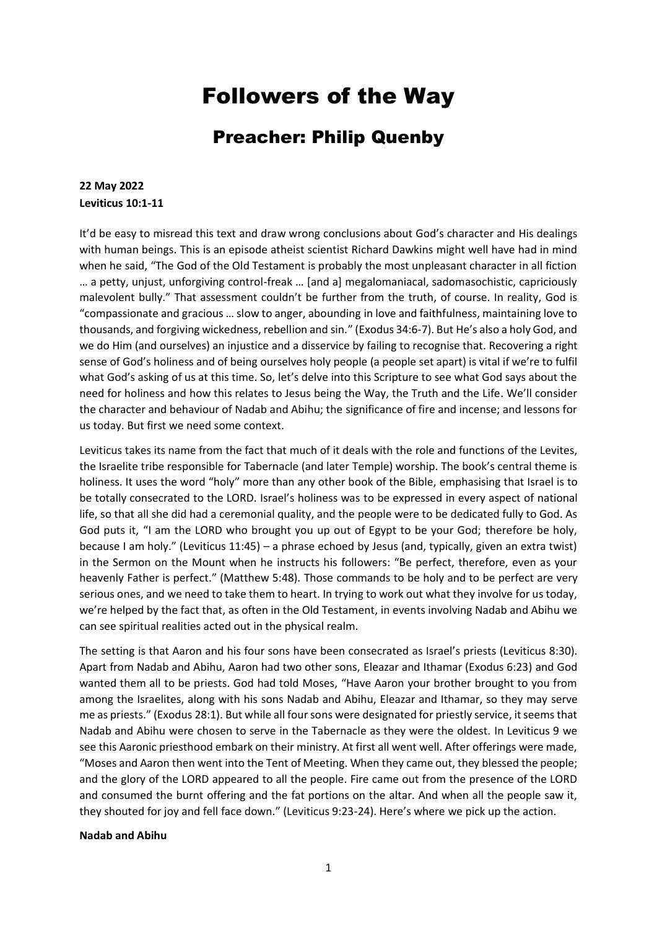# Followers of the Way

# Preacher: Philip Quenby

### **22 May 2022 Leviticus 10:1-11**

It'd be easy to misread this text and draw wrong conclusions about God's character and His dealings with human beings. This is an episode atheist scientist Richard Dawkins might well have had in mind when he said, "The God of the Old Testament is probably the most unpleasant character in all fiction … a petty, unjust, unforgiving control-freak … [and a] megalomaniacal, sadomasochistic, capriciously malevolent bully." That assessment couldn't be further from the truth, of course. In reality, God is "compassionate and gracious … slow to anger, abounding in love and faithfulness, maintaining love to thousands, and forgiving wickedness, rebellion and sin." (Exodus 34:6-7). But He's also a holy God, and we do Him (and ourselves) an injustice and a disservice by failing to recognise that. Recovering a right sense of God's holiness and of being ourselves holy people (a people set apart) is vital if we're to fulfil what God's asking of us at this time. So, let's delve into this Scripture to see what God says about the need for holiness and how this relates to Jesus being the Way, the Truth and the Life. We'll consider the character and behaviour of Nadab and Abihu; the significance of fire and incense; and lessons for us today. But first we need some context.

Leviticus takes its name from the fact that much of it deals with the role and functions of the Levites, the Israelite tribe responsible for Tabernacle (and later Temple) worship. The book's central theme is holiness. It uses the word "holy" more than any other book of the Bible, emphasising that Israel is to be totally consecrated to the LORD. Israel's holiness was to be expressed in every aspect of national life, so that all she did had a ceremonial quality, and the people were to be dedicated fully to God. As God puts it, "I am the LORD who brought you up out of Egypt to be your God; therefore be holy, because I am holy." (Leviticus 11:45) – a phrase echoed by Jesus (and, typically, given an extra twist) in the Sermon on the Mount when he instructs his followers: "Be perfect, therefore, even as your heavenly Father is perfect." (Matthew 5:48). Those commands to be holy and to be perfect are very serious ones, and we need to take them to heart. In trying to work out what they involve for us today, we're helped by the fact that, as often in the Old Testament, in events involving Nadab and Abihu we can see spiritual realities acted out in the physical realm.

The setting is that Aaron and his four sons have been consecrated as Israel's priests (Leviticus 8:30). Apart from Nadab and Abihu, Aaron had two other sons, Eleazar and Ithamar (Exodus 6:23) and God wanted them all to be priests. God had told Moses, "Have Aaron your brother brought to you from among the Israelites, along with his sons Nadab and Abihu, Eleazar and Ithamar, so they may serve me as priests." (Exodus 28:1). But while all four sons were designated for priestly service, it seems that Nadab and Abihu were chosen to serve in the Tabernacle as they were the oldest. In Leviticus 9 we see this Aaronic priesthood embark on their ministry. At first all went well. After offerings were made, "Moses and Aaron then went into the Tent of Meeting. When they came out, they blessed the people; and the glory of the LORD appeared to all the people. Fire came out from the presence of the LORD and consumed the burnt offering and the fat portions on the altar. And when all the people saw it, they shouted for joy and fell face down." (Leviticus 9:23-24). Here's where we pick up the action.

#### **Nadab and Abihu**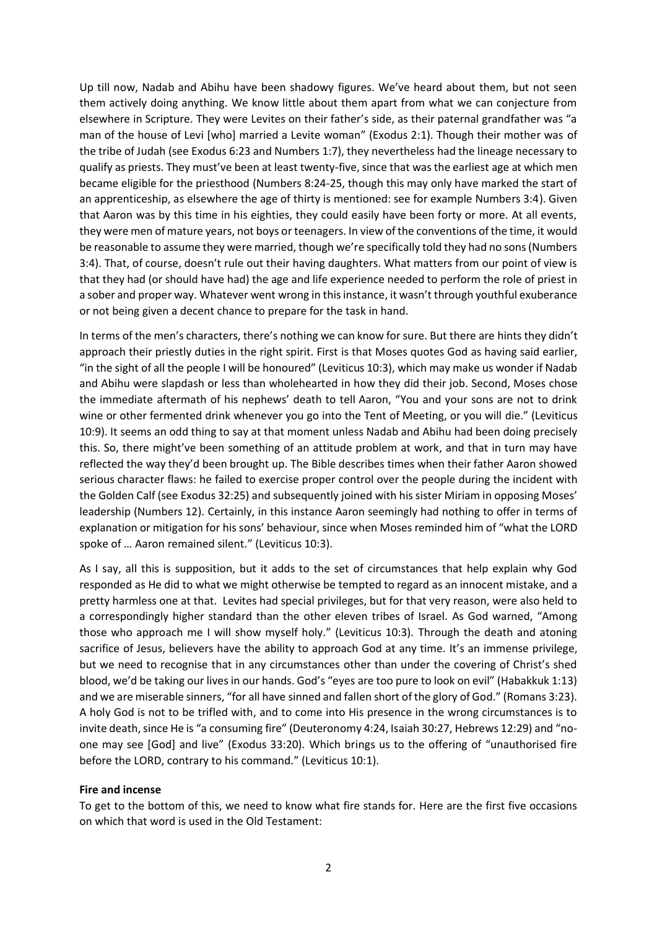Up till now, Nadab and Abihu have been shadowy figures. We've heard about them, but not seen them actively doing anything. We know little about them apart from what we can conjecture from elsewhere in Scripture. They were Levites on their father's side, as their paternal grandfather was "a man of the house of Levi [who] married a Levite woman" (Exodus 2:1). Though their mother was of the tribe of Judah (see Exodus 6:23 and Numbers 1:7), they nevertheless had the lineage necessary to qualify as priests. They must've been at least twenty-five, since that was the earliest age at which men became eligible for the priesthood (Numbers 8:24-25, though this may only have marked the start of an apprenticeship, as elsewhere the age of thirty is mentioned: see for example Numbers 3:4). Given that Aaron was by this time in his eighties, they could easily have been forty or more. At all events, they were men of mature years, not boys or teenagers. In view of the conventions of the time, it would be reasonable to assume they were married, though we're specifically told they had no sons (Numbers 3:4). That, of course, doesn't rule out their having daughters. What matters from our point of view is that they had (or should have had) the age and life experience needed to perform the role of priest in a sober and proper way. Whatever went wrong in this instance, it wasn't through youthful exuberance or not being given a decent chance to prepare for the task in hand.

In terms of the men's characters, there's nothing we can know for sure. But there are hints they didn't approach their priestly duties in the right spirit. First is that Moses quotes God as having said earlier, "in the sight of all the people I will be honoured" (Leviticus 10:3), which may make us wonder if Nadab and Abihu were slapdash or less than wholehearted in how they did their job. Second, Moses chose the immediate aftermath of his nephews' death to tell Aaron, "You and your sons are not to drink wine or other fermented drink whenever you go into the Tent of Meeting, or you will die." (Leviticus 10:9). It seems an odd thing to say at that moment unless Nadab and Abihu had been doing precisely this. So, there might've been something of an attitude problem at work, and that in turn may have reflected the way they'd been brought up. The Bible describes times when their father Aaron showed serious character flaws: he failed to exercise proper control over the people during the incident with the Golden Calf (see Exodus 32:25) and subsequently joined with his sister Miriam in opposing Moses' leadership (Numbers 12). Certainly, in this instance Aaron seemingly had nothing to offer in terms of explanation or mitigation for his sons' behaviour, since when Moses reminded him of "what the LORD spoke of … Aaron remained silent." (Leviticus 10:3).

As I say, all this is supposition, but it adds to the set of circumstances that help explain why God responded as He did to what we might otherwise be tempted to regard as an innocent mistake, and a pretty harmless one at that. Levites had special privileges, but for that very reason, were also held to a correspondingly higher standard than the other eleven tribes of Israel. As God warned, "Among those who approach me I will show myself holy." (Leviticus 10:3). Through the death and atoning sacrifice of Jesus, believers have the ability to approach God at any time. It's an immense privilege, but we need to recognise that in any circumstances other than under the covering of Christ's shed blood, we'd be taking our lives in our hands. God's "eyes are too pure to look on evil" (Habakkuk 1:13) and we are miserable sinners, "for all have sinned and fallen short of the glory of God." (Romans 3:23). A holy God is not to be trifled with, and to come into His presence in the wrong circumstances is to invite death, since He is "a consuming fire" (Deuteronomy 4:24, Isaiah 30:27, Hebrews 12:29) and "noone may see [God] and live" (Exodus 33:20). Which brings us to the offering of "unauthorised fire before the LORD, contrary to his command." (Leviticus 10:1).

#### **Fire and incense**

To get to the bottom of this, we need to know what fire stands for. Here are the first five occasions on which that word is used in the Old Testament: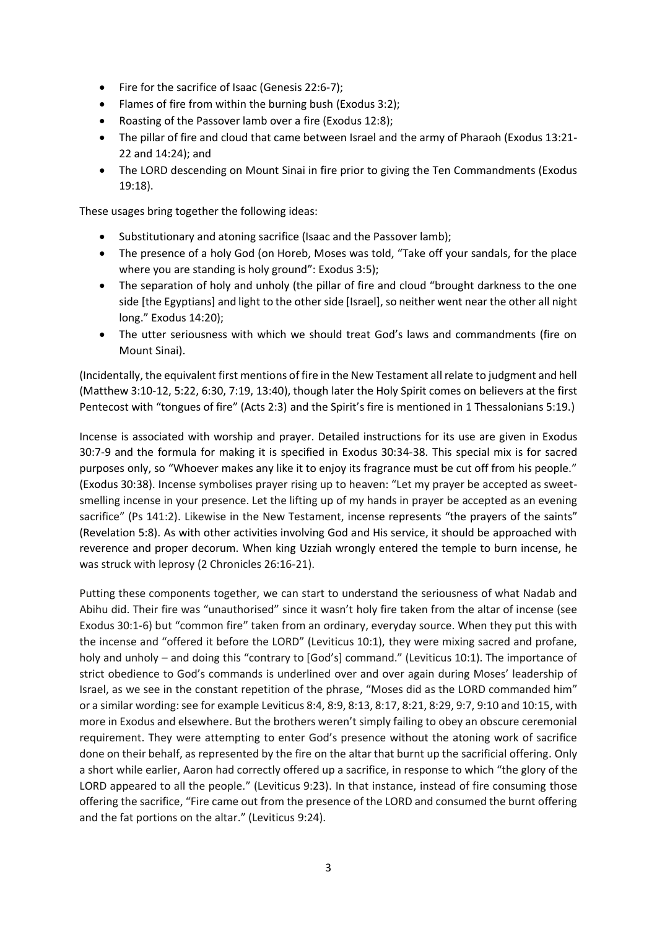- Fire for the sacrifice of Isaac (Genesis 22:6-7);
- Flames of fire from within the burning bush (Exodus 3:2);
- Roasting of the Passover lamb over a fire (Exodus 12:8);
- The pillar of fire and cloud that came between Israel and the army of Pharaoh (Exodus 13:21- 22 and 14:24); and
- The LORD descending on Mount Sinai in fire prior to giving the Ten Commandments (Exodus 19:18).

These usages bring together the following ideas:

- Substitutionary and atoning sacrifice (Isaac and the Passover lamb);
- The presence of a holy God (on Horeb, Moses was told, "Take off your sandals, for the place where you are standing is holy ground": Exodus 3:5);
- The separation of holy and unholy (the pillar of fire and cloud "brought darkness to the one side [the Egyptians] and light to the other side [Israel], so neither went near the other all night long." Exodus 14:20);
- The utter seriousness with which we should treat God's laws and commandments (fire on Mount Sinai).

(Incidentally, the equivalent first mentions of fire in the New Testament all relate to judgment and hell (Matthew 3:10-12, 5:22, 6:30, 7:19, 13:40), though later the Holy Spirit comes on believers at the first Pentecost with "tongues of fire" (Acts 2:3) and the Spirit's fire is mentioned in 1 Thessalonians 5:19.)

Incense is associated with worship and prayer. Detailed instructions for its use are given in Exodus 30:7-9 and the formula for making it is specified in Exodus 30:34-38. This special mix is for sacred purposes only, so "Whoever makes any like it to enjoy its fragrance must be cut off from his people." (Exodus 30:38). Incense symbolises prayer rising up to heaven: "Let my prayer be accepted as sweetsmelling incense in your presence. Let the lifting up of my hands in prayer be accepted as an evening sacrifice" (Ps 141:2). Likewise in the New Testament, incense represents "the prayers of the saints" (Revelation 5:8). As with other activities involving God and His service, it should be approached with reverence and proper decorum. When king Uzziah wrongly entered the temple to burn incense, he was struck with leprosy (2 Chronicles 26:16-21).

Putting these components together, we can start to understand the seriousness of what Nadab and Abihu did. Their fire was "unauthorised" since it wasn't holy fire taken from the altar of incense (see Exodus 30:1-6) but "common fire" taken from an ordinary, everyday source. When they put this with the incense and "offered it before the LORD" (Leviticus 10:1), they were mixing sacred and profane, holy and unholy – and doing this "contrary to [God's] command." (Leviticus 10:1). The importance of strict obedience to God's commands is underlined over and over again during Moses' leadership of Israel, as we see in the constant repetition of the phrase, "Moses did as the LORD commanded him" or a similar wording: see for example Leviticus 8:4, 8:9, 8:13, 8:17, 8:21, 8:29, 9:7, 9:10 and 10:15, with more in Exodus and elsewhere. But the brothers weren't simply failing to obey an obscure ceremonial requirement. They were attempting to enter God's presence without the atoning work of sacrifice done on their behalf, as represented by the fire on the altar that burnt up the sacrificial offering. Only a short while earlier, Aaron had correctly offered up a sacrifice, in response to which "the glory of the LORD appeared to all the people." (Leviticus 9:23). In that instance, instead of fire consuming those offering the sacrifice, "Fire came out from the presence of the LORD and consumed the burnt offering and the fat portions on the altar." (Leviticus 9:24).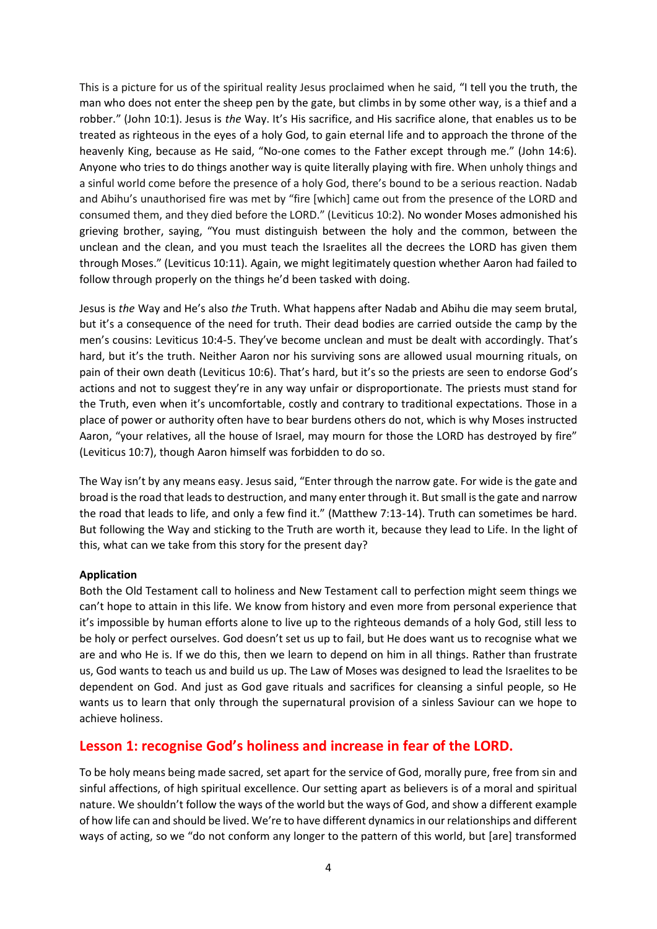This is a picture for us of the spiritual reality Jesus proclaimed when he said, "I tell you the truth, the man who does not enter the sheep pen by the gate, but climbs in by some other way, is a thief and a robber." (John 10:1). Jesus is *the* Way. It's His sacrifice, and His sacrifice alone, that enables us to be treated as righteous in the eyes of a holy God, to gain eternal life and to approach the throne of the heavenly King, because as He said, "No-one comes to the Father except through me." (John 14:6). Anyone who tries to do things another way is quite literally playing with fire. When unholy things and a sinful world come before the presence of a holy God, there's bound to be a serious reaction. Nadab and Abihu's unauthorised fire was met by "fire [which] came out from the presence of the LORD and consumed them, and they died before the LORD." (Leviticus 10:2). No wonder Moses admonished his grieving brother, saying, "You must distinguish between the holy and the common, between the unclean and the clean, and you must teach the Israelites all the decrees the LORD has given them through Moses." (Leviticus 10:11). Again, we might legitimately question whether Aaron had failed to follow through properly on the things he'd been tasked with doing.

Jesus is *the* Way and He's also *the* Truth. What happens after Nadab and Abihu die may seem brutal, but it's a consequence of the need for truth. Their dead bodies are carried outside the camp by the men's cousins: Leviticus 10:4-5. They've become unclean and must be dealt with accordingly. That's hard, but it's the truth. Neither Aaron nor his surviving sons are allowed usual mourning rituals, on pain of their own death (Leviticus 10:6). That's hard, but it's so the priests are seen to endorse God's actions and not to suggest they're in any way unfair or disproportionate. The priests must stand for the Truth, even when it's uncomfortable, costly and contrary to traditional expectations. Those in a place of power or authority often have to bear burdens others do not, which is why Moses instructed Aaron, "your relatives, all the house of Israel, may mourn for those the LORD has destroyed by fire" (Leviticus 10:7), though Aaron himself was forbidden to do so.

The Way isn't by any means easy. Jesus said, "Enter through the narrow gate. For wide is the gate and broad is the road that leads to destruction, and many enter through it. But small is the gate and narrow the road that leads to life, and only a few find it." (Matthew 7:13-14). Truth can sometimes be hard. But following the Way and sticking to the Truth are worth it, because they lead to Life. In the light of this, what can we take from this story for the present day?

#### **Application**

Both the Old Testament call to holiness and New Testament call to perfection might seem things we can't hope to attain in this life. We know from history and even more from personal experience that it's impossible by human efforts alone to live up to the righteous demands of a holy God, still less to be holy or perfect ourselves. God doesn't set us up to fail, but He does want us to recognise what we are and who He is. If we do this, then we learn to depend on him in all things. Rather than frustrate us, God wants to teach us and build us up. The Law of Moses was designed to lead the Israelites to be dependent on God. And just as God gave rituals and sacrifices for cleansing a sinful people, so He wants us to learn that only through the supernatural provision of a sinless Saviour can we hope to achieve holiness.

## **Lesson 1: recognise God's holiness and increase in fear of the LORD.**

To be holy means being made sacred, set apart for the service of God, morally pure, free from sin and sinful affections, of high spiritual excellence. Our setting apart as believers is of a moral and spiritual nature. We shouldn't follow the ways of the world but the ways of God, and show a different example of how life can and should be lived. We're to have different dynamics in our relationships and different ways of acting, so we "do not conform any longer to the pattern of this world, but [are] transformed